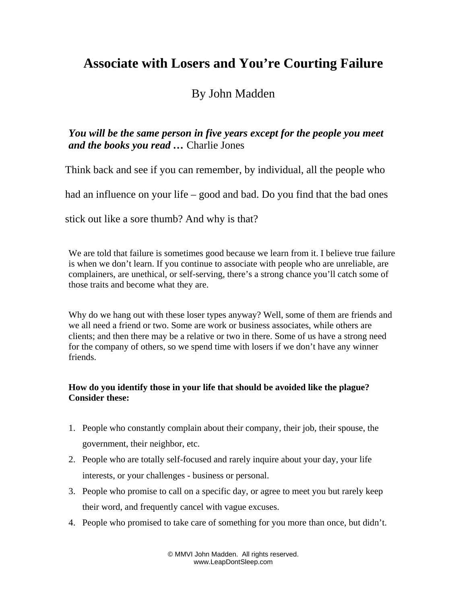# **Associate with Losers and You're Courting Failure**

# By John Madden

## *You will be the same person in five years except for the people you meet and the books you read …* Charlie Jones

Think back and see if you can remember, by individual, all the people who

had an influence on your life – good and bad. Do you find that the bad ones

stick out like a sore thumb? And why is that?

We are told that failure is sometimes good because we learn from it. I believe true failure is when we don't learn. If you continue to associate with people who are unreliable, are complainers, are unethical, or self-serving, there's a strong chance you'll catch some of those traits and become what they are.

Why do we hang out with these loser types anyway? Well, some of them are friends and we all need a friend or two. Some are work or business associates, while others are clients; and then there may be a relative or two in there. Some of us have a strong need for the company of others, so we spend time with losers if we don't have any winner friends.

#### **How do you identify those in your life that should be avoided like the plague? Consider these:**

- 1. People who constantly complain about their company, their job, their spouse, the government, their neighbor, etc.
- 2. People who are totally self-focused and rarely inquire about your day, your life interests, or your challenges - business or personal.
- 3. People who promise to call on a specific day, or agree to meet you but rarely keep their word, and frequently cancel with vague excuses.
- 4. People who promised to take care of something for you more than once, but didn't.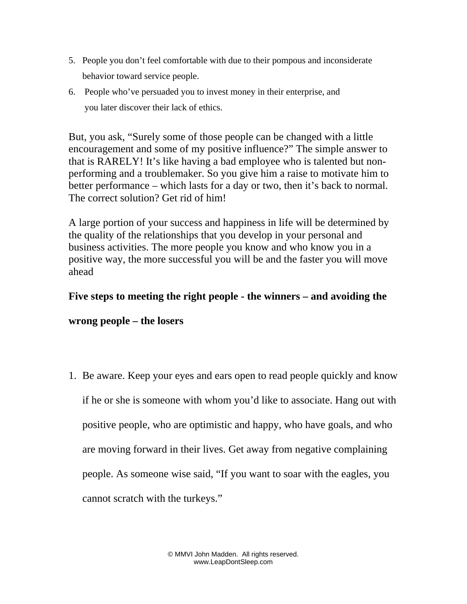- 5. People you don't feel comfortable with due to their pompous and inconsiderate behavior toward service people.
- 6. People who've persuaded you to invest money in their enterprise, and you later discover their lack of ethics.

But, you ask, "Surely some of those people can be changed with a little encouragement and some of my positive influence?" The simple answer to that is RARELY! It's like having a bad employee who is talented but nonperforming and a troublemaker. So you give him a raise to motivate him to better performance – which lasts for a day or two, then it's back to normal. The correct solution? Get rid of him!

A large portion of your success and happiness in life will be determined by the quality of the relationships that you develop in your personal and business activities. The more people you know and who know you in a positive way, the more successful you will be and the faster you will move ahead

### **Five steps to meeting the right people - the winners – and avoiding the**

#### **wrong people – the losers**

1. Be aware. Keep your eyes and ears open to read people quickly and know if he or she is someone with whom you'd like to associate. Hang out with positive people, who are optimistic and happy, who have goals, and who are moving forward in their lives. Get away from negative complaining people. As someone wise said, "If you want to soar with the eagles, you cannot scratch with the turkeys."